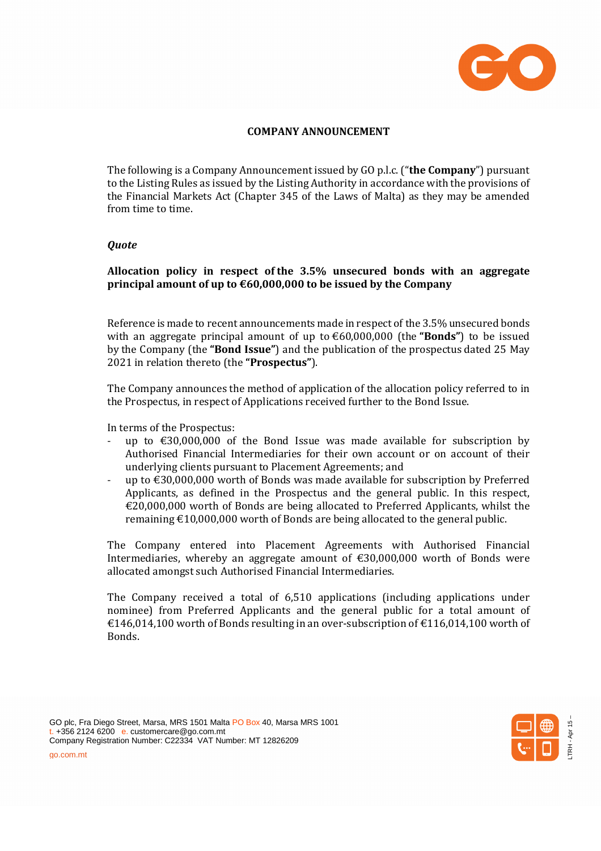

## **COMPANY ANNOUNCEMENT**

The following is a Company Announcement issued by GO p.l.c. ("**the Company**") pursuant to the Listing Rules as issued by the Listing Authority in accordance with the provisions of the Financial Markets Act (Chapter 345 of the Laws of Malta) as they may be amended from time to time.

## *Quote*

## **Allocation policy in respect of the 3.5% unsecured bonds with an aggregate principal amount of up to €60,000,000 to be issued by the Company**

Reference is made to recent announcements made in respect of the 3.5% unsecured bonds with an aggregate principal amount of up to €60,000,000 (the **"Bonds"**) to be issued by the Company (the **"Bond Issue"**) and the publication of the prospectus dated 25 May 2021 in relation thereto (the **"Prospectus"**).

The Company announces the method of application of the allocation policy referred to in the Prospectus, in respect of Applications received further to the Bond Issue.

In terms of the Prospectus:

- up to  $\text{\textsterling}30,000,000$  of the Bond Issue was made available for subscription by Authorised Financial Intermediaries for their own account or on account of their underlying clients pursuant to Placement Agreements; and
- up to  $\text{\textsterling}30,000,000$  worth of Bonds was made available for subscription by Preferred Applicants, as defined in the Prospectus and the general public. In this respect,  $€20,000,000$  worth of Bonds are being allocated to Preferred Applicants, whilst the remaining  $\text{\textsterling}10,000,000$  worth of Bonds are being allocated to the general public.

The Company entered into Placement Agreements with Authorised Financial Intermediaries, whereby an aggregate amount of  $\epsilon$ 30,000,000 worth of Bonds were allocated amongst such Authorised Financial Intermediaries.

The Company received a total of 6,510 applications (including applications under nominee) from Preferred Applicants and the general public for a total amount of  $€146,014,100$  worth of Bonds resulting in an over-subscription of  $€116,014,100$  worth of Bonds.